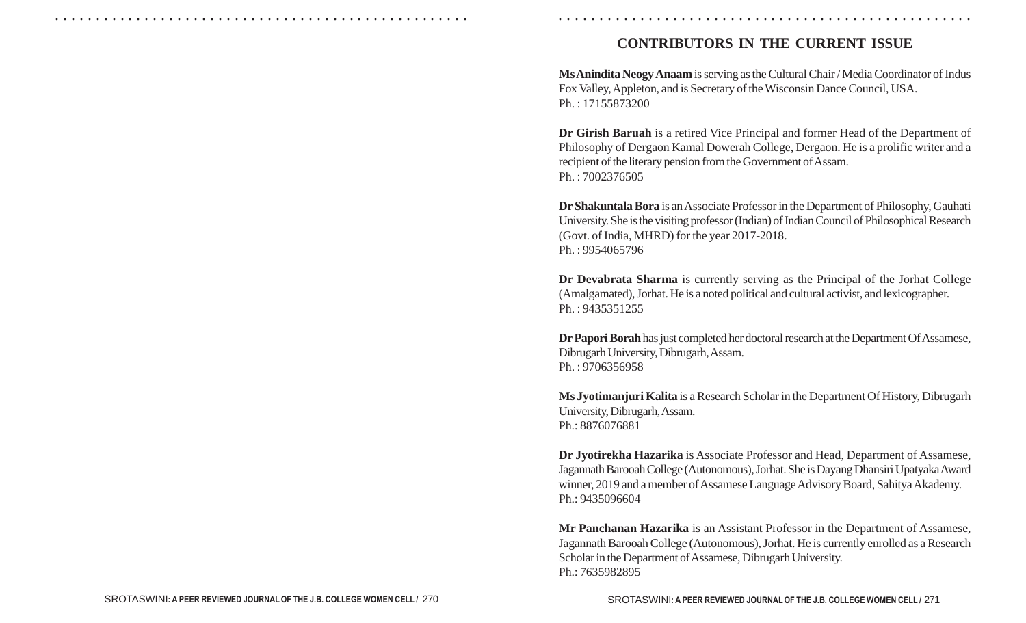## **CONTRIBUTORS IN THE CURRENT ISSUE**

○ ○ ○ ○ ○ ○ ○ ○ ○ ○ ○ ○ ○ ○ ○ ○ ○ ○ ○ ○ ○ ○ ○ ○ ○ ○ ○ ○ ○ ○ ○ ○ ○ ○ ○ ○ ○ ○ ○ ○ ○ ○ ○ ○ ○ ○ ○ ○ ○ ○ ○ ○ ○ ○ ○ ○ ○ ○ ○ ○ ○ ○ ○ ○ ○ ○ ○ ○ ○ ○ ○ ○ ○ ○ ○ ○ ○ ○ ○ ○ ○ ○ ○ ○ ○ ○ ○ ○ ○ ○ ○ ○ ○ ○ ○ ○ ○ ○ ○ ○ ○ ○

**Ms Anindita Neogy Anaam** is serving as the Cultural Chair / Media Coordinator of Indus Fox Valley, Appleton, and is Secretary of the Wisconsin Dance Council, USA. Ph. : 17155873200

**Dr Girish Baruah** is a retired Vice Principal and former Head of the Department of Philosophy of Dergaon Kamal Dowerah College, Dergaon. He is a prolific writer and a recipient of the literary pension from the Government of Assam. Ph. : 7002376505

**Dr Shakuntala Bora** is an Associate Professor in the Department of Philosophy, Gauhati University. She is the visiting professor (Indian) of Indian Council of Philosophical Research (Govt. of India, MHRD) for the year 2017-2018. Ph. : 9954065796

**Dr Devabrata Sharma** is currently serving as the Principal of the Jorhat College (Amalgamated), Jorhat. He is a noted political and cultural activist, and lexicographer. Ph. : 9435351255

**Dr Papori Borah** has just completed her doctoral research at the Department Of Assamese, Dibrugarh University, Dibrugarh, Assam. Ph. : 9706356958

**Ms Jyotimanjuri Kalita** is a Research Scholar in the Department Of History, Dibrugarh University, Dibrugarh, Assam. Ph.: 8876076881

**Dr Jyotirekha Hazarika** is Associate Professor and Head, Department of Assamese, Jagannath Barooah College (Autonomous), Jorhat. She is Dayang Dhansiri Upatyaka Award winner, 2019 and a member of Assamese Language Advisory Board, Sahitya Akademy. Ph.: 9435096604

**Mr Panchanan Hazarika** is an Assistant Professor in the Department of Assamese, Jagannath Barooah College (Autonomous), Jorhat. He is currently enrolled as a Research Scholar in the Department of Assamese, Dibrugarh University. Ph.: 7635982895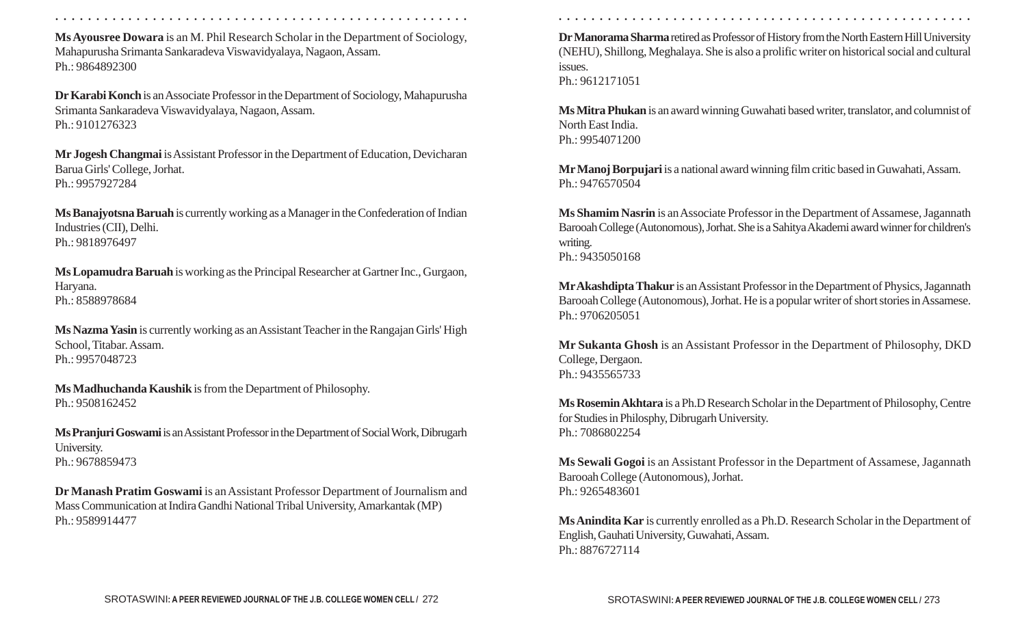**Ms Ayousree Dowara** is an M. Phil Research Scholar in the Department of Sociology, Mahapurusha Srimanta Sankaradeva Viswavidyalaya, Nagaon, Assam. Ph.: 9864892300

**Dr Karabi Konch** is an Associate Professor in the Department of Sociology, Mahapurusha Srimanta Sankaradeva Viswavidyalaya, Nagaon, Assam. Ph.: 9101276323

**Mr Jogesh Changmai** is Assistant Professor in the Department of Education, Devicharan Barua Girls' College, Jorhat. Ph.: 9957927284

**Ms Banajyotsna Baruah** is currently working as a Manager in the Confederation of Indian Industries (CII), Delhi. Ph.: 9818976497

**Ms Lopamudra Baruah** is working as the Principal Researcher at Gartner Inc., Gurgaon, Haryana. Ph.: 8588978684

**Ms Nazma Yasin** is currently working as an Assistant Teacher in the Rangajan Girls' High School, Titabar. Assam. Ph.: 9957048723

**Ms Madhuchanda Kaushik** is from the Department of Philosophy. Ph.: 9508162452

**Ms Pranjuri Goswami** is an Assistant Professor in the Department of Social Work, Dibrugarh University. Ph.: 9678859473

**Dr Manash Pratim Goswami** is an Assistant Professor Department of Journalism and Mass Communication at Indira Gandhi National Tribal University, Amarkantak (MP) Ph.: 9589914477

○ ○ ○ ○ ○ ○ ○ ○ ○ ○ ○ ○ ○ ○ ○ ○ ○ ○ ○ ○ ○ ○ ○ ○ ○ ○ ○ ○ ○ ○ ○ ○ ○ ○ ○ ○ ○ ○ ○ ○ ○ ○ ○ ○ ○ ○ ○ ○ ○ ○ ○ ○ ○ ○ ○ ○ ○ ○ ○ ○ ○ ○ ○ ○ ○ ○ ○ ○ ○ ○ ○ ○ ○ ○ ○ ○ ○ ○ ○ ○ ○ ○ ○ ○ ○ ○ ○ ○ ○ ○ ○ ○ ○ ○ ○ ○ ○ ○ ○ ○ ○ ○

**Dr Manorama Sharma** retired as Professor of History from the North Eastern Hill University (NEHU), Shillong, Meghalaya. She is also a prolific writer on historical social and cultural issues. Ph.: 9612171051

**Ms Mitra Phukan** is an award winning Guwahati based writer, translator, and columnist of North East India. Ph.: 9954071200

**Mr Manoj Borpujari** is a national award winning film critic based in Guwahati, Assam. Ph.: 9476570504

**Ms Shamim Nasrin** is an Associate Professor in the Department of Assamese, Jagannath Barooah College (Autonomous), Jorhat. She is a Sahitya Akademi award winner for children's writing. Ph.: 9435050168

**MrAkashdipta Thakur** is an Assistant Professor in the Department of Physics, Jagannath Barooah College (Autonomous), Jorhat. He is a popular writer of short stories in Assamese. Ph.: 9706205051

**Mr Sukanta Ghosh** is an Assistant Professor in the Department of Philosophy, DKD College, Dergaon. Ph.: 9435565733

**Ms Rosemin Akhtara** is a Ph.D Research Scholar in the Department of Philosophy, Centre for Studies in Philosphy, Dibrugarh University. Ph.: 7086802254

**Ms Sewali Gogoi** is an Assistant Professor in the Department of Assamese, Jagannath Barooah College (Autonomous), Jorhat. Ph.: 9265483601

**Ms Anindita Kar** is currently enrolled as a Ph.D. Research Scholar in the Department of English, Gauhati University, Guwahati, Assam. Ph.: 8876727114